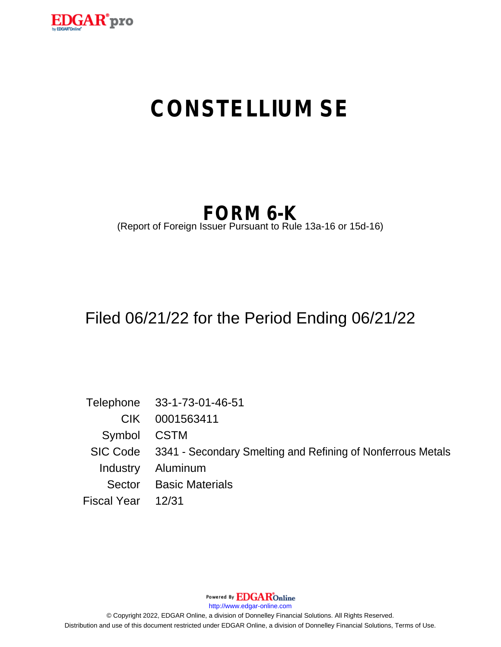

# **CONSTELLIUM SE**

## **FORM 6-K**

(Report of Foreign Issuer Pursuant to Rule 13a-16 or 15d-16)

## Filed 06/21/22 for the Period Ending 06/21/22

Telephone 33-1-73-01-46-51 CIK 0001563411 Symbol CSTM SIC Code 3341 - Secondary Smelting and Refining of Nonferrous Metals Industry Aluminum Sector Basic Materials Fiscal Year 12/31

Powered By **EDGAR**Online

http://www.edgar-online.com

© Copyright 2022, EDGAR Online, a division of Donnelley Financial Solutions. All Rights Reserved. Distribution and use of this document restricted under EDGAR Online, a division of Donnelley Financial Solutions, Terms of Use.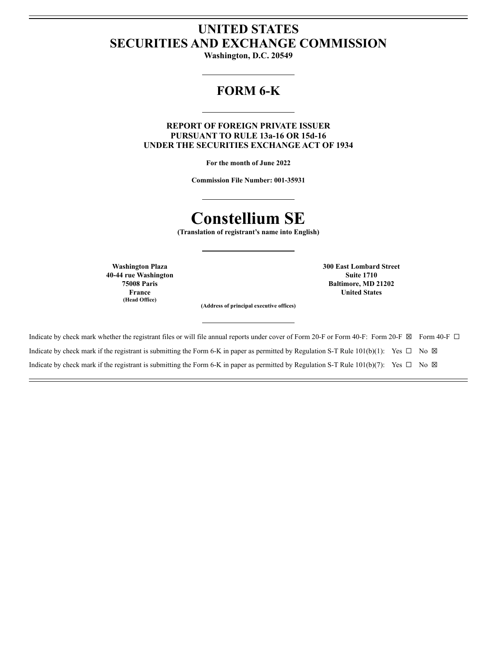### **UNITED STATES SECURITIES AND EXCHANGE COMMISSION**

Washington, D.C. 20549

### **FORM 6-K**

**REPORT OF FOREIGN PRIVATE ISSUER** PURSUANT TO RULE 13a-16 OR 15d-16 **UNDER THE SECURITIES EXCHANGE ACT OF 1934** 

For the month of June 2022

**Commission File Number: 001-35931** 

### **Constellium SE**

(Translation of registrant's name into English)

**Washington Plaza** 40-44 rue Washington **75008 Paris** France (Head Office)

**300 East Lombard Street Suite 1710** Baltimore, MD 21202 **United States** 

(Address of principal executive offices)

| Indicate by check mark whether the registrant files or will file annual reports under cover of Form 20-F or Form 40-F: Form 20-F $\boxtimes$ Form 40-F $\Box$ |  |
|---------------------------------------------------------------------------------------------------------------------------------------------------------------|--|
| Indicate by check mark if the registrant is submitting the Form 6-K in paper as permitted by Regulation S-T Rule 101(b)(1): Yes $\Box$ No $\boxtimes$         |  |
| Indicate by check mark if the registrant is submitting the Form 6-K in paper as permitted by Regulation S-T Rule 101(b)(7): Yes $\Box$ No $\boxtimes$         |  |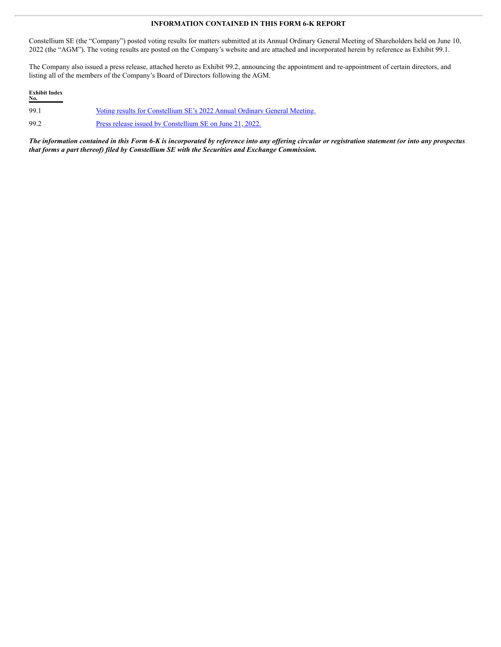#### **INFORMATION CONTAINED IN THIS FORM 6-K REPORT**

Constellium SE (the "Company") posted voting results for matters submitted at its Annual Ordinary General Meeting of Shareholders held on June 10, 2022 (the "AGM"). The voting results are posted on the Company's website and are attached and incorporated herein by reference as Exhibit 99.1.

The Company also issued a press release, attached hereto as Exhibit 99.2, announcing the appointment and re-appointment of certain directors, and listing all of the members of the Company's Board of Directors following the AGM.

| <b>Exhibit Index</b><br>No. |                                                                           |
|-----------------------------|---------------------------------------------------------------------------|
| 99.1                        | Voting results for Constellium SE's 2022 Annual Ordinary General Meeting. |
| 99.2                        | Press release issued by Constellium SE on June 21, 2022.                  |

The information contained in this Form 6-K is incorporated by reference into any offering circular or registration statement (or into any prospectus *that forms a part thereof) filed by Constellium SE with the Securities and Exchange Commission.*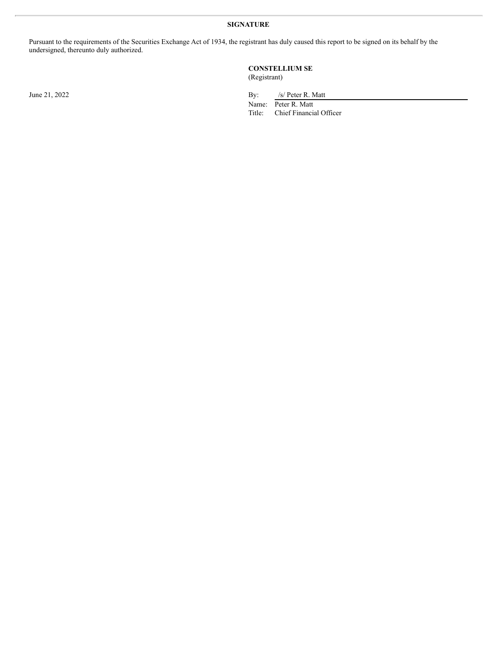#### **SIGNATURE**

Pursuant to the requirements of the Securities Exchange Act of 1934, the registrant has duly caused this report to be signed on its behalf by the undersigned, thereunto duly authorized.

#### **CONSTELLIUM SE** (Registrant)

June 21, 2022 By: /s/ Peter R. Matt

Name: Peter R. Matt<br>Title: Chief Financia Chief Financial Officer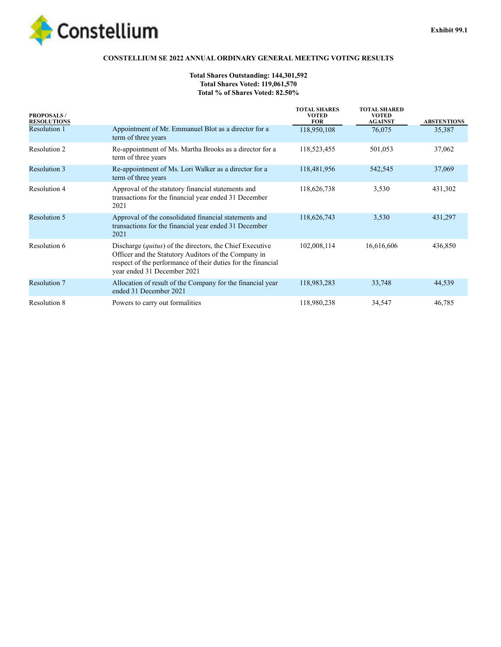<span id="page-4-0"></span>

#### **CONSTELLIUM SE 2022 ANNUAL ORDINARY GENERAL MEETING VOTING RESULTS**

#### **Total Shares Outstanding: 144,301,592 Total Shares Voted: 119,061,570 Total % of Shares Voted: 82.50%**

| <b>PROPOSALS/</b><br><b>RESOLUTIONS</b> |                                                                                                                                                                                                                        | <b>TOTAL SHARES</b><br><b>VOTED</b><br><b>FOR</b> | <b>TOTAL SHARED</b><br><b>VOTED</b><br><b>AGAINST</b> | <b>ABSTENTIONS</b> |
|-----------------------------------------|------------------------------------------------------------------------------------------------------------------------------------------------------------------------------------------------------------------------|---------------------------------------------------|-------------------------------------------------------|--------------------|
| <b>Resolution 1</b>                     | Appointment of Mr. Emmanuel Blot as a director for a<br>term of three years                                                                                                                                            | 118,950,108                                       | 76,075                                                | 35,387             |
| Resolution 2                            | Re-appointment of Ms. Martha Brooks as a director for a<br>term of three years                                                                                                                                         | 118,523,455                                       | 501,053                                               | 37,062             |
| <b>Resolution 3</b>                     | Re-appointment of Ms. Lori Walker as a director for a<br>term of three years                                                                                                                                           | 118,481,956                                       | 542,545                                               | 37,069             |
| Resolution 4                            | Approval of the statutory financial statements and<br>transactions for the financial year ended 31 December<br>2021                                                                                                    | 118,626,738                                       | 3,530                                                 | 431,302            |
| <b>Resolution 5</b>                     | Approval of the consolidated financial statements and<br>transactions for the financial year ended 31 December<br>2021                                                                                                 | 118,626,743                                       | 3,530                                                 | 431,297            |
| Resolution 6                            | Discharge <i>(quitus)</i> of the directors, the Chief Executive<br>Officer and the Statutory Auditors of the Company in<br>respect of the performance of their duties for the financial<br>year ended 31 December 2021 | 102,008,114                                       | 16,616,606                                            | 436,850            |
| <b>Resolution 7</b>                     | Allocation of result of the Company for the financial year<br>ended 31 December 2021                                                                                                                                   | 118,983,283                                       | 33,748                                                | 44,539             |
| <b>Resolution 8</b>                     | Powers to carry out formalities                                                                                                                                                                                        | 118,980,238                                       | 34,547                                                | 46,785             |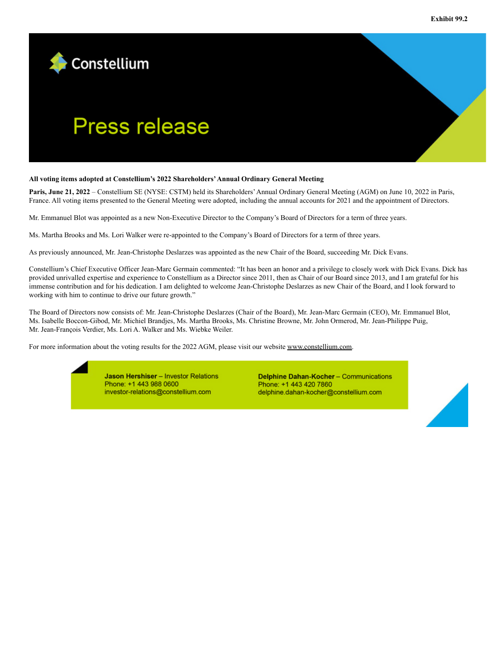<span id="page-5-0"></span>

# **Press release**

#### **All voting items adopted at Constellium's 2022 Shareholders'Annual Ordinary General Meeting**

**Paris, June 21, 2022** – Constellium SE (NYSE: CSTM) held its Shareholders'Annual Ordinary General Meeting (AGM) on June 10, 2022 in Paris, France. All voting items presented to the General Meeting were adopted, including the annual accounts for 2021 and the appointment of Directors.

Mr. Emmanuel Blot was appointed as a new Non-Executive Director to the Company's Board of Directors for a term of three years.

Ms. Martha Brooks and Ms. Lori Walker were re-appointed to the Company's Board of Directors for a term of three years.

As previously announced, Mr. Jean-Christophe Deslarzes was appointed as the new Chair of the Board, succeeding Mr. Dick Evans.

Constellium's Chief Executive Officer Jean-Marc Germain commented: "It has been an honor and a privilege to closely work with Dick Evans. Dick has provided unrivalled expertise and experience to Constellium as a Director since 2011, then as Chair of our Board since 2013, and I am grateful for his immense contribution and for his dedication. I am delighted to welcome Jean-Christophe Deslarzes as new Chair of the Board, and I look forward to working with him to continue to drive our future growth."

The Board of Directors now consists of: Mr. Jean-Christophe Deslarzes (Chair of the Board), Mr. Jean-Marc Germain (CEO), Mr. Emmanuel Blot, Ms. Isabelle Boccon-Gibod, Mr. Michiel Brandjes, Ms. Martha Brooks, Ms. Christine Browne, Mr. John Ormerod, Mr. Jean-Philippe Puig, Mr. Jean-François Verdier, Ms. Lori A. Walker and Ms. Wiebke Weiler.

For more information about the voting results for the 2022 AGM, please visit our website www.constellium.com.

Jason Hershiser - Investor Relations Phone: +1 443 988 0600 investor-relations@constellium.com

Delphine Dahan-Kocher - Communications Phone: +1 443 420 7860 delphine.dahan-kocher@constellium.com